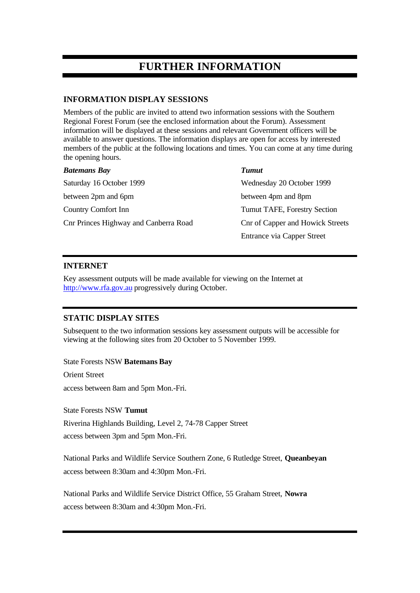# **FURTHER INFORMATION**

### **INFORMATION DISPLAY SESSIONS**

Members of the public are invited to attend two information sessions with the Southern Regional Forest Forum (see the enclosed information about the Forum). Assessment information will be displayed at these sessions and relevant Government officers will be available to answer questions. The information displays are open for access by interested members of the public at the following locations and times. You can come at any time during the opening hours.

| <b>Batemans Bay</b>                   | <b>Tumut</b>                        |
|---------------------------------------|-------------------------------------|
| Saturday 16 October 1999              | Wednesday 20 October 1999           |
| between 2pm and 6pm                   | between 4pm and 8pm                 |
| Country Comfort Inn                   | <b>Tumut TAFE, Forestry Section</b> |
| Cnr Princes Highway and Canberra Road | Cnr of Capper and Howick Streets    |
|                                       | Entrance via Capper Street          |

#### **INTERNET**

Key assessment outputs will be made available for viewing on the Internet at http://www.rfa.gov.au progressively during October.

### **STATIC DISPLAY SITES**

Subsequent to the two information sessions key assessment outputs will be accessible for viewing at the following sites from 20 October to 5 November 1999.

State Forests NSW **Batemans Bay**

Orient Street

access between 8am and 5pm Mon.-Fri.

State Forests NSW **Tumut**

Riverina Highlands Building, Level 2, 74-78 Capper Street access between 3pm and 5pm Mon.-Fri.

National Parks and Wildlife Service Southern Zone, 6 Rutledge Street, **Queanbeyan** access between 8:30am and 4:30pm Mon.-Fri.

National Parks and Wildlife Service District Office, 55 Graham Street, **Nowra** access between 8:30am and 4:30pm Mon.-Fri.